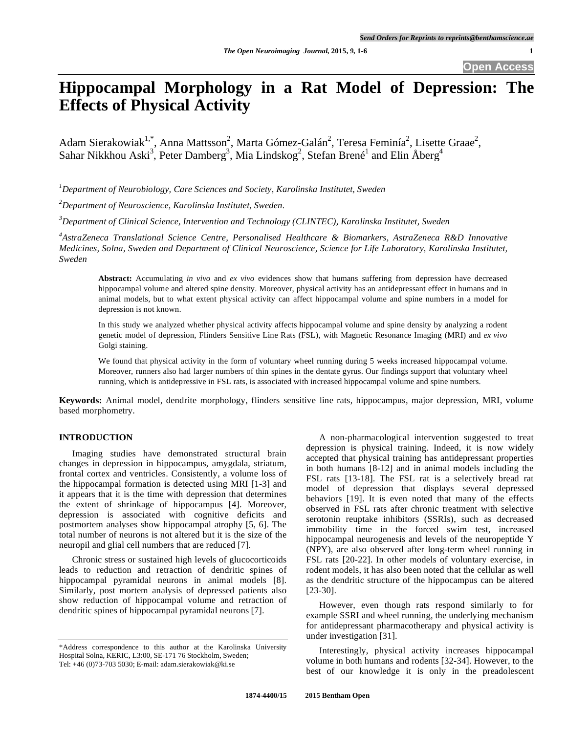**Open Access** 

# **Hippocampal Morphology in a Rat Model of Depression: The Effects of Physical Activity**

Adam Sierakowiak<sup>1,\*</sup>, Anna Mattsson<sup>2</sup>, Marta Gómez-Galán<sup>2</sup>, Teresa Feminía<sup>2</sup>, Lisette Graae<sup>2</sup>, Sahar Nikkhou Aski<sup>3</sup>, Peter Damberg<sup>3</sup>, Mia Lindskog<sup>2</sup>, Stefan Brené<sup>1</sup> and Elin Åberg<sup>4</sup>

*1 Department of Neurobiology, Care Sciences and Society, Karolinska Institutet, Sweden* 

*2 Department of Neuroscience, Karolinska Institutet, Sweden.* 

*3 Department of Clinical Science, Intervention and Technology (CLINTEC), Karolinska Institutet, Sweden* 

*4 AstraZeneca Translational Science Centre, Personalised Healthcare & Biomarkers, AstraZeneca R&D Innovative Medicines, Solna, Sweden and Department of Clinical Neuroscience, Science for Life Laboratory, Karolinska Institutet, Sweden* 

**Abstract:** Accumulating *in vivo* and *ex vivo* evidences show that humans suffering from depression have decreased hippocampal volume and altered spine density. Moreover, physical activity has an antidepressant effect in humans and in animal models, but to what extent physical activity can affect hippocampal volume and spine numbers in a model for depression is not known.

In this study we analyzed whether physical activity affects hippocampal volume and spine density by analyzing a rodent genetic model of depression, Flinders Sensitive Line Rats (FSL), with Magnetic Resonance Imaging (MRI) and *ex vivo* Golgi staining.

We found that physical activity in the form of voluntary wheel running during 5 weeks increased hippocampal volume. Moreover, runners also had larger numbers of thin spines in the dentate gyrus. Our findings support that voluntary wheel running, which is antidepressive in FSL rats, is associated with increased hippocampal volume and spine numbers.

**Keywords:** Animal model, dendrite morphology, flinders sensitive line rats, hippocampus, major depression, MRI, volume based morphometry.

## **INTRODUCTION**

 Imaging studies have demonstrated structural brain changes in depression in hippocampus, amygdala, striatum, frontal cortex and ventricles. Consistently, a volume loss of the hippocampal formation is detected using MRI [1-3] and it appears that it is the time with depression that determines the extent of shrinkage of hippocampus [4]. Moreover, depression is associated with cognitive deficits and postmortem analyses show hippocampal atrophy [5, 6]. The total number of neurons is not altered but it is the size of the neuropil and glial cell numbers that are reduced [7].

 Chronic stress or sustained high levels of glucocorticoids leads to reduction and retraction of dendritic spines of hippocampal pyramidal neurons in animal models [8]. Similarly, post mortem analysis of depressed patients also show reduction of hippocampal volume and retraction of dendritic spines of hippocampal pyramidal neurons [7].

\*Address correspondence to this author at the Karolinska University Hospital Solna, KERIC, L3:00, SE-171 76 Stockholm, Sweden; Tel: +46 (0)73-703 5030; E-mail: adam.sierakowiak@ki.se

 A non-pharmacological intervention suggested to treat depression is physical training. Indeed, it is now widely accepted that physical training has antidepressant properties in both humans [8-12] and in animal models including the FSL rats [13-18]. The FSL rat is a selectively bread rat model of depression that displays several depressed behaviors [19]. It is even noted that many of the effects observed in FSL rats after chronic treatment with selective serotonin reuptake inhibitors (SSRIs), such as decreased immobility time in the forced swim test, increased hippocampal neurogenesis and levels of the neuropeptide Y (NPY), are also observed after long-term wheel running in FSL rats [20-22]. In other models of voluntary exercise, in rodent models, it has also been noted that the cellular as well as the dendritic structure of the hippocampus can be altered [23-30].

 However, even though rats respond similarly to for example SSRI and wheel running, the underlying mechanism for antidepressant pharmacotherapy and physical activity is under investigation [31].

 Interestingly, physical activity increases hippocampal volume in both humans and rodents [32-34]. However, to the best of our knowledge it is only in the preadolescent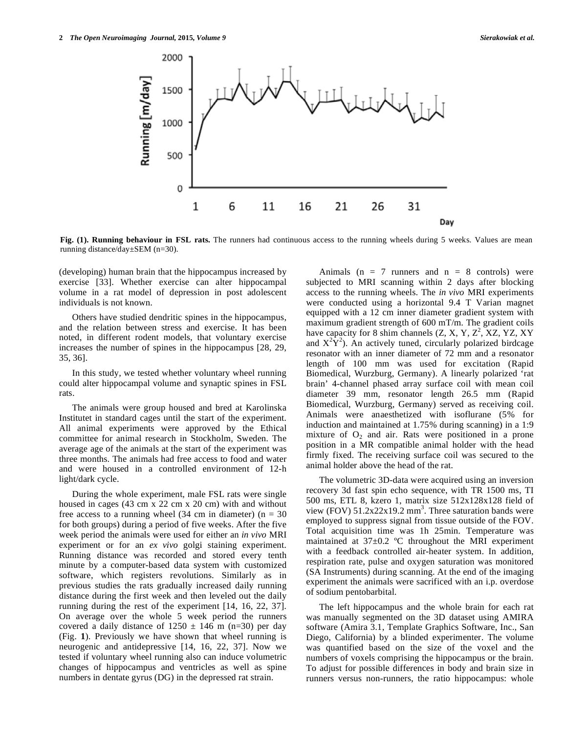

Fig. (1). Running behaviour in FSL rats. The runners had continuous access to the running wheels during 5 weeks. Values are mean running distance/day±SEM (n=30).

(developing) human brain that the hippocampus increased by exercise [33]. Whether exercise can alter hippocampal volume in a rat model of depression in post adolescent individuals is not known.

 Others have studied dendritic spines in the hippocampus, and the relation between stress and exercise. It has been noted, in different rodent models, that voluntary exercise increases the number of spines in the hippocampus [28, 29, 35, 36].

 In this study, we tested whether voluntary wheel running could alter hippocampal volume and synaptic spines in FSL rats.

 The animals were group housed and bred at Karolinska Institutet in standard cages until the start of the experiment. All animal experiments were approved by the Ethical committee for animal research in Stockholm, Sweden. The average age of the animals at the start of the experiment was three months. The animals had free access to food and water and were housed in a controlled environment of 12-h light/dark cycle.

 During the whole experiment, male FSL rats were single housed in cages (43 cm x 22 cm x 20 cm) with and without free access to a running wheel (34 cm in diameter) ( $n = 30$ for both groups) during a period of five weeks. After the five week period the animals were used for either an *in vivo* MRI experiment or for an *ex vivo* golgi staining experiment. Running distance was recorded and stored every tenth minute by a computer-based data system with customized software, which registers revolutions. Similarly as in previous studies the rats gradually increased daily running distance during the first week and then leveled out the daily running during the rest of the experiment [14, 16, 22, 37]. On average over the whole 5 week period the runners covered a daily distance of  $1250 \pm 146$  m (n=30) per day (Fig. **1**). Previously we have shown that wheel running is neurogenic and antidepressive [14, 16, 22, 37]. Now we tested if voluntary wheel running also can induce volumetric changes of hippocampus and ventricles as well as spine numbers in dentate gyrus (DG) in the depressed rat strain.

Animals ( $n = 7$  runners and  $n = 8$  controls) were subjected to MRI scanning within 2 days after blocking access to the running wheels. The *in vivo* MRI experiments were conducted using a horizontal 9.4 T Varian magnet equipped with a 12 cm inner diameter gradient system with maximum gradient strength of 600 mT/m. The gradient coils have capacity for 8 shim channels  $(Z, X, Y, Z^2, XZ, YZ, XY)$ and  $X^2\hat{Y}^2$ ). An actively tuned, circularly polarized birdcage resonator with an inner diameter of 72 mm and a resonator length of 100 mm was used for excitation (Rapid Biomedical, Wurzburg, Germany). A linearly polarized 'rat brain' 4-channel phased array surface coil with mean coil diameter 39 mm, resonator length 26.5 mm (Rapid Biomedical, Wurzburg, Germany) served as receiving coil. Animals were anaesthetized with isoflurane (5% for induction and maintained at 1.75% during scanning) in a 1:9 mixture of  $O_2$  and air. Rats were positioned in a prone position in a MR compatible animal holder with the head firmly fixed. The receiving surface coil was secured to the animal holder above the head of the rat.

 The volumetric 3D-data were acquired using an inversion recovery 3d fast spin echo sequence, with TR 1500 ms, TI 500 ms, ETL 8, kzero 1, matrix size 512x128x128 field of view (FOV)  $51.2x22x19.2 \text{ mm}^3$ . Three saturation bands were employed to suppress signal from tissue outside of the FOV. Total acquisition time was 1h 25min. Temperature was maintained at 37±0.2 ºC throughout the MRI experiment with a feedback controlled air-heater system. In addition, respiration rate, pulse and oxygen saturation was monitored (SA Instruments) during scanning. At the end of the imaging experiment the animals were sacrificed with an i.p. overdose of sodium pentobarbital.

 The left hippocampus and the whole brain for each rat was manually segmented on the 3D dataset using AMIRA software (Amira 3.1, Template Graphics Software, Inc., San Diego, California) by a blinded experimenter. The volume was quantified based on the size of the voxel and the numbers of voxels comprising the hippocampus or the brain. To adjust for possible differences in body and brain size in runners versus non-runners, the ratio hippocampus: whole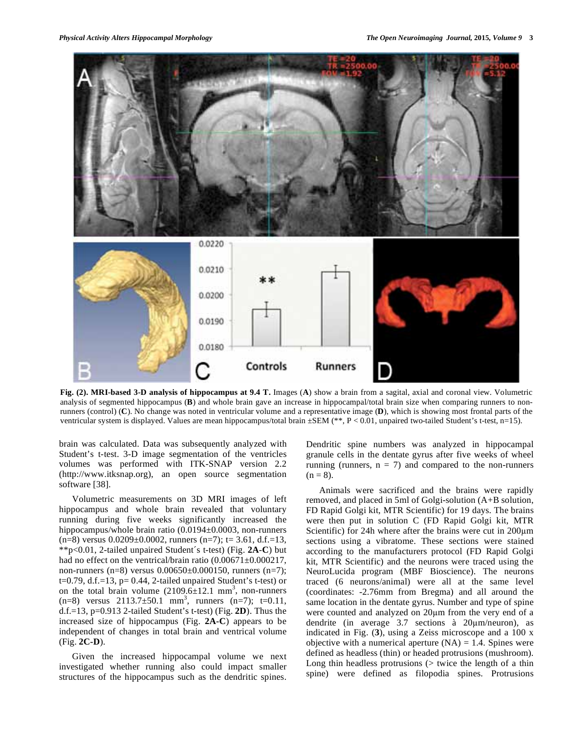

**Fig. (2). MRI-based 3-D analysis of hippocampus at 9.4 T.** Images (**A**) show a brain from a sagital, axial and coronal view. Volumetric analysis of segmented hippocampus (**B**) and whole brain gave an increase in hippocampal/total brain size when comparing runners to nonrunners (control) (**C**). No change was noted in ventricular volume and a representative image (**D**), which is showing most frontal parts of the ventricular system is displayed. Values are mean hippocampus/total brain ±SEM (\*\*, P < 0.01, unpaired two-tailed Student's t-test, n=15).

brain was calculated. Data was subsequently analyzed with Student's t-test. 3-D image segmentation of the ventricles volumes was performed with ITK-SNAP version 2.2 (http://www.itksnap.org), an open source segmentation software [38].

 Volumetric measurements on 3D MRI images of left hippocampus and whole brain revealed that voluntary running during five weeks significantly increased the hippocampus/whole brain ratio (0.0194±0.0003, non-runners  $(n=8)$  versus  $0.0209 \pm 0.0002$ , runners  $(n=7)$ ; t= 3.61, d.f.=13, \*\*p<0.01, 2-tailed unpaired Student´s t-test) (Fig. **2A**-**C**) but had no effect on the ventrical/brain ratio (0.00671±0.000217, non-runners (n=8) versus 0.00650±0.000150, runners (n=7);  $t=0.79$ , d.f.=13, p= 0.44, 2-tailed unpaired Student's t-test) or on the total brain volume  $(2109.6 \pm 12.1 \text{ mm}^3)$ , non-runners  $(n=8)$  versus  $2113.7 \pm 50.1$  mm<sup>3</sup>, runners  $(n=7)$ ; t=0.11, d.f.=13, p=0.913 2-tailed Student's t-test) (Fig. **2D**). Thus the increased size of hippocampus (Fig. **2A-C**) appears to be independent of changes in total brain and ventrical volume (Fig. **2C-D**).

 Given the increased hippocampal volume we next investigated whether running also could impact smaller structures of the hippocampus such as the dendritic spines.

Dendritic spine numbers was analyzed in hippocampal granule cells in the dentate gyrus after five weeks of wheel running (runners,  $n = 7$ ) and compared to the non-runners  $(n = 8)$ .

 Animals were sacrificed and the brains were rapidly removed, and placed in 5ml of Golgi-solution (A+B solution, FD Rapid Golgi kit, MTR Scientific) for 19 days. The brains were then put in solution C (FD Rapid Golgi kit, MTR Scientific) for 24h where after the brains were cut in  $200 \mu m$ sections using a vibratome. These sections were stained according to the manufacturers protocol (FD Rapid Golgi kit, MTR Scientific) and the neurons were traced using the NeuroLucida program (MBF Bioscience). The neurons traced (6 neurons/animal) were all at the same level (coordinates: -2.76mm from Bregma) and all around the same location in the dentate gyrus. Number and type of spine were counted and analyzed on 20µm from the very end of a dendrite (in average  $3.7$  sections à  $20 \mu m/n$ euron), as indicated in Fig. (**3**), using a Zeiss microscope and a 100 x objective with a numerical aperture  $(NA) = 1.4$ . Spines were defined as headless (thin) or headed protrusions (mushroom). Long thin headless protrusions  $($  twice the length of a thin spine) were defined as filopodia spines. Protrusions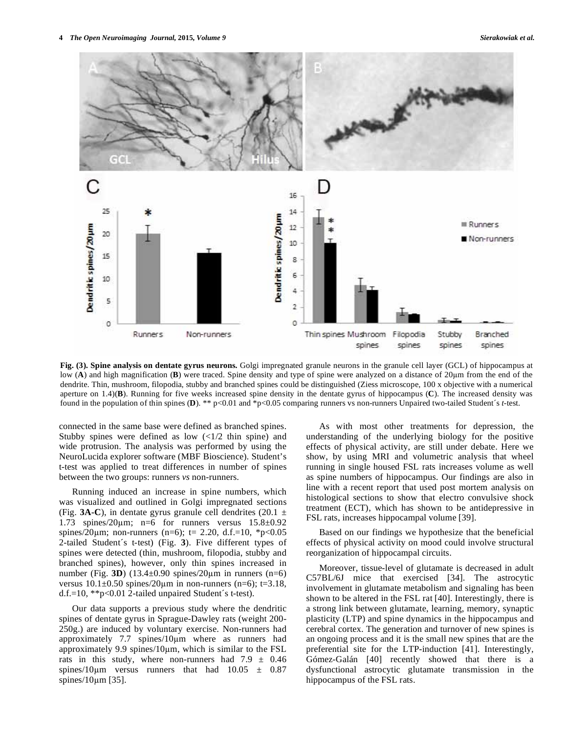

**Fig. (3). Spine analysis on dentate gyrus neurons.** Golgi impregnated granule neurons in the granule cell layer (GCL) of hippocampus at low (A) and high magnification (B) were traced. Spine density and type of spine were analyzed on a distance of 20µm from the end of the dendrite. Thin, mushroom, filopodia, stubby and branched spines could be distinguished (Ziess microscope, 100 x objective with a numerical aperture on 1.4)(**B**). Running for five weeks increased spine density in the dentate gyrus of hippocampus (**C**). The increased density was found in the population of thin spines (**D**). \*\* p<0.01 and \*p<0.05 comparing runners vs non-runners Unpaired two-tailed Student´s *t*-test.

connected in the same base were defined as branched spines. Stubby spines were defined as low  $\left(\frac{1}{2} \text{ thin spine}\right)$  and wide protrusion. The analysis was performed by using the NeuroLucida explorer software (MBF Bioscience). Student's t-test was applied to treat differences in number of spines between the two groups: runners *vs* non-runners.

 Running induced an increase in spine numbers, which was visualized and outlined in Golgi impregnated sections (Fig. **3A-C**), in dentate gyrus granule cell dendrites (20.1  $\pm$ 1.73 spines/20 $\mu$ m; n=6 for runners versus 15.8 $\pm$ 0.92 spines/20 $\mu$ m; non-runners (n=6); t= 2.20, d.f.=10, \*p<0.05 2-tailed Student´s t-test) (Fig. **3**). Five different types of spines were detected (thin, mushroom, filopodia, stubby and branched spines), however, only thin spines increased in number (Fig. **3D**)  $(13.4 \pm 0.90 \text{ spines}/20 \mu \text{m} \text{ in runners (n=6)})$ versus  $10.1\pm0.50$  spines/20 $\mu$ m in non-runners (n=6); t=3.18, d.f.=10, \*\*p<0.01 2-tailed unpaired Student´s t-test).

 Our data supports a previous study where the dendritic spines of dentate gyrus in Sprague-Dawley rats (weight 200- 250g.) are induced by voluntary exercise. Non-runners had approximately 7.7 spines/10µm where as runners had approximately 9.9 spines/ $10\mu$ m, which is similar to the FSL rats in this study, where non-runners had  $7.9 \pm 0.46$ spines/10 $\mu$ m versus runners that had 10.05  $\pm$  0.87 spines/10m [35].

 As with most other treatments for depression, the understanding of the underlying biology for the positive effects of physical activity, are still under debate. Here we show, by using MRI and volumetric analysis that wheel running in single housed FSL rats increases volume as well as spine numbers of hippocampus. Our findings are also in line with a recent report that used post mortem analysis on histological sections to show that electro convulsive shock treatment (ECT), which has shown to be antidepressive in FSL rats, increases hippocampal volume [39].

 Based on our findings we hypothesize that the beneficial effects of physical activity on mood could involve structural reorganization of hippocampal circuits.

 Moreover, tissue-level of glutamate is decreased in adult C57BL/6J mice that exercised [34]. The astrocytic involvement in glutamate metabolism and signaling has been shown to be altered in the FSL rat [40]. Interestingly, there is a strong link between glutamate, learning, memory, synaptic plasticity (LTP) and spine dynamics in the hippocampus and cerebral cortex. The generation and turnover of new spines is an ongoing process and it is the small new spines that are the preferential site for the LTP-induction [41]. Interestingly, Gómez-Galán [40] recently showed that there is a dysfunctional astrocytic glutamate transmission in the hippocampus of the FSL rats.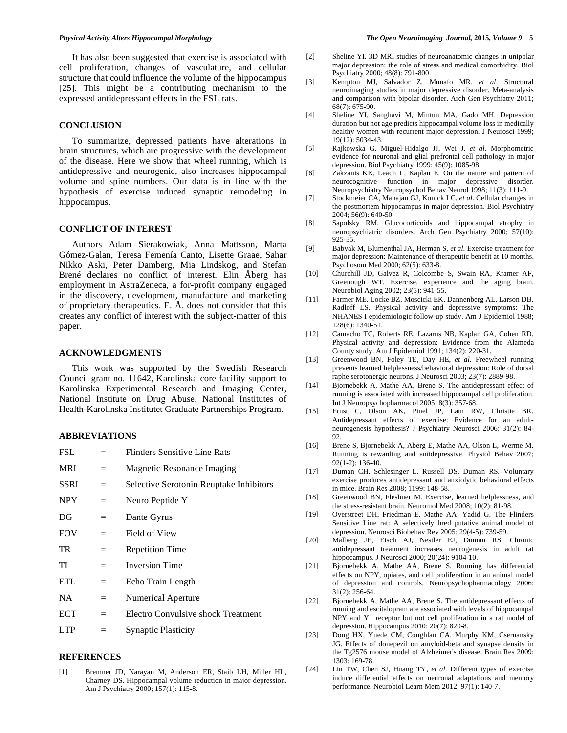It has also been suggested that exercise is associated with cell proliferation, changes of vasculature, and cellular structure that could influence the volume of the hippocampus [25]. This might be a contributing mechanism to the expressed antidepressant effects in the FSL rats.

### **CONCLUSION**

 To summarize, depressed patients have alterations in brain structures, which are progressive with the development of the disease. Here we show that wheel running, which is antidepressive and neurogenic, also increases hippocampal volume and spine numbers. Our data is in line with the hypothesis of exercise induced synaptic remodeling in hippocampus.

## **CONFLICT OF INTEREST**

 Authors Adam Sierakowiak, Anna Mattsson, Marta Gómez-Galan, Teresa Femenía Canto, Lisette Graae, Sahar Nikko Aski, Peter Damberg, Mia Lindskog, and Stefan Brené declares no conflict of interest. Elin Åberg has employment in AstraZeneca, a for-profit company engaged in the discovery, development, manufacture and marketing of proprietary therapeutics. E. Å. does not consider that this creates any conflict of interest with the subject-matter of this paper.

## **ACKNOWLEDGMENTS**

 This work was supported by the Swedish Research Council grant no. 11642, Karolinska core facility support to Karolinska Experimental Research and Imaging Center, National Institute on Drug Abuse, National Institutes of Health-Karolinska Institutet Graduate Partnerships Program.

## **ABBREVIATIONS**

| FSL         |     | Flinders Sensitive Line Rats            |
|-------------|-----|-----------------------------------------|
| <b>MRI</b>  | $=$ | Magnetic Resonance Imaging              |
| <b>SSRI</b> | $=$ | Selective Serotonin Reuptake Inhibitors |
| <b>NPY</b>  | $=$ | Neuro Peptide Y                         |
| DG          | $=$ | Dante Gyrus                             |
| <b>FOV</b>  | $=$ | Field of View                           |
| TR          | $=$ | <b>Repetition Time</b>                  |
| TI          | $=$ | <b>Inversion Time</b>                   |
| <b>ETL</b>  | $=$ | Echo Train Length                       |
| <b>NA</b>   | $=$ | Numerical Aperture                      |
| ECT         | $=$ | Electro Convulsive shock Treatment      |
| <b>LTP</b>  | $=$ | <b>Synaptic Plasticity</b>              |
|             |     |                                         |

## **REFERENCES**

[1] Bremner JD, Narayan M, Anderson ER, Staib LH, Miller HL, Charney DS. Hippocampal volume reduction in major depression. Am J Psychiatry 2000; 157(1): 115-8.

- [2] Sheline YI. 3D MRI studies of neuroanatomic changes in unipolar major depression: the role of stress and medical comorbidity. Biol Psychiatry 2000; 48(8): 791-800.
- [3] Kempton MJ, Salvador Z, Munafo MR, *et al*. Structural neuroimaging studies in major depressive disorder. Meta-analysis and comparison with bipolar disorder. Arch Gen Psychiatry 2011; 68(7): 675-90.
- [4] Sheline YI, Sanghavi M, Mintun MA, Gado MH. Depression duration but not age predicts hippocampal volume loss in medically healthy women with recurrent major depression. J Neurosci 1999; 19(12): 5034-43.
- [5] Rajkowska G, Miguel-Hidalgo JJ, Wei J, *et al*. Morphometric evidence for neuronal and glial prefrontal cell pathology in major depression. Biol Psychiatry 1999; 45(9): 1085-98.
- [6] Zakzanis KK, Leach L, Kaplan E. On the nature and pattern of neurocognitive function in major depressive disorder. Neuropsychiatry Neuropsychol Behav Neurol 1998; 11(3): 111-9.
- [7] Stockmeier CA, Mahajan GJ, Konick LC, *et al*. Cellular changes in the postmortem hippocampus in major depression. Biol Psychiatry 2004; 56(9): 640-50.
- [8] Sapolsky RM. Glucocorticoids and hippocampal atrophy in neuropsychiatric disorders. Arch Gen Psychiatry 2000; 57(10): 925-35.
- [9] Babyak M, Blumenthal JA, Herman S, *et al*. Exercise treatment for major depression: Maintenance of therapeutic benefit at 10 months. Psychosom Med 2000; 62(5): 633-8.
- [10] Churchill JD, Galvez R, Colcombe S, Swain RA, Kramer AF, Greenough WT. Exercise, experience and the aging brain. Neurobiol Aging 2002; 23(5): 941-55.
- [11] Farmer ME, Locke BZ, Moscicki EK, Dannenberg AL, Larson DB, Radloff LS. Physical activity and depressive symptoms: The NHANES I epidemiologic follow-up study. Am J Epidemiol 1988; 128(6): 1340-51.
- [12] Camacho TC, Roberts RE, Lazarus NB, Kaplan GA, Cohen RD. Physical activity and depression: Evidence from the Alameda County study. Am J Epidemiol 1991; 134(2): 220-31.
- [13] Greenwood BN, Foley TE, Day HE, *et al*. Freewheel running prevents learned helplessness/behavioral depression: Role of dorsal raphe serotonergic neurons. J Neurosci 2003; 23(7): 2889-98.
- [14] Bjornebekk A, Mathe AA, Brene S. The antidepressant effect of running is associated with increased hippocampal cell proliferation. Int J Neuropsychopharmacol 2005; 8(3): 357-68.
- [15] Ernst C, Olson AK, Pinel JP, Lam RW, Christie BR. Antidepressant effects of exercise: Evidence for an adultneurogenesis hypothesis? J Psychiatry Neurosci 2006; 31(2): 84- 92.
- [16] Brene S, Bjornebekk A, Aberg E, Mathe AA, Olson L, Werme M. Running is rewarding and antidepressive. Physiol Behav 2007; 92(1-2): 136-40.
- [17] Duman CH, Schlesinger L, Russell DS, Duman RS. Voluntary exercise produces antidepressant and anxiolytic behavioral effects in mice. Brain Res 2008; 1199: 148-58.
- [18] Greenwood BN, Fleshner M. Exercise, learned helplessness, and the stress-resistant brain. Neuromol Med 2008; 10(2): 81-98.
- [19] Overstreet DH, Friedman E, Mathe AA, Yadid G. The Flinders Sensitive Line rat: A selectively bred putative animal model of depression. Neurosci Biobehav Rev 2005; 29(4-5): 739-59.
- [20] Malberg JE, Eisch AJ, Nestler EJ, Duman RS. Chronic antidepressant treatment increases neurogenesis in adult rat hippocampus. J Neurosci 2000; 20(24): 9104-10.
- [21] Bjornebekk A, Mathe AA, Brene S. Running has differential effects on NPY, opiates, and cell proliferation in an animal model of depression and controls. Neuropsychopharmacology 2006; 31(2): 256-64.
- [22] Bjornebekk A, Mathe AA, Brene S. The antidepressant effects of running and escitalopram are associated with levels of hippocampal NPY and Y1 receptor but not cell proliferation in a rat model of depression. Hippocampus 2010; 20(7): 820-8.
- [23] Dong HX, Yuede CM, Coughlan CA, Murphy KM, Csernansky JG. Effects of donepezil on amyloid-beta and synapse density in the Tg2576 mouse model of Alzheimer's disease. Brain Res 2009; 1303: 169-78.
- [24] Lin TW, Chen SJ, Huang TY, *et al*. Different types of exercise induce differential effects on neuronal adaptations and memory performance. Neurobiol Learn Mem 2012; 97(1): 140-7.